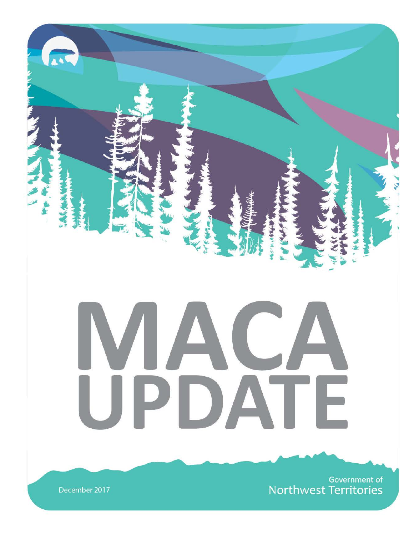

Government of **Northwest Territories** 

December 2017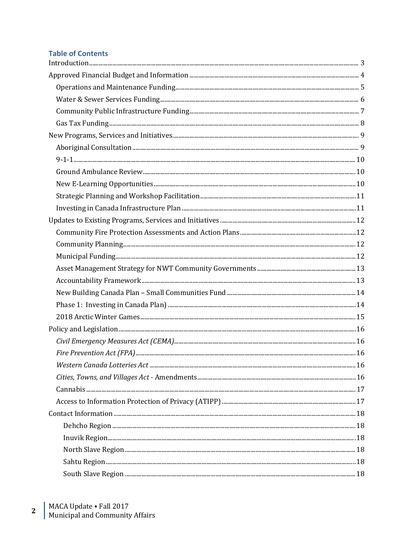# **Table of Contents**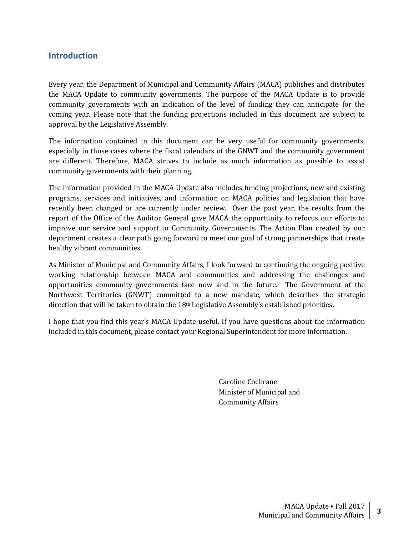## <span id="page-2-0"></span>**Introduction**

Every year, the Department of Municipal and Community Affairs (MACA) publishes and distributes the MACA Update to community governments. The purpose of the MACA Update is to provide community governments with an indication of the level of funding they can anticipate for the coming year. Please note that the funding projections included in this document are subject to approval by the Legislative Assembly.

The information contained in this document can be very useful for community governments, especially in those cases where the fiscal calendars of the GNWT and the community government are different. Therefore, MACA strives to include as much information as possible to assist community governments with their planning.

The information provided in the MACA Update also includes funding projections, new and existing programs, services and initiatives, and information on MACA policies and legislation that have recently been changed or are currently under review. Over the past year, the results from the report of the Office of the Auditor General gave MACA the opportunity to refocus our efforts to improve our service and support to Community Governments. The Action Plan created by our department creates a clear path going forward to meet our goal of strong partnerships that create healthy vibrant communities.

As Minister of Municipal and Community Affairs, I look forward to continuing the ongoing positive working relationship between MACA and communities and addressing the challenges and opportunities community governments face now and in the future. The Government of the Northwest Territories (GNWT) committed to a new mandate, which describes the strategic direction that will be taken to obtain the  $18<sup>th</sup>$  Legislative Assembly's established priorities.

I hope that you find this year's MACA Update useful. If you have questions about the information included in this document, please contact your Regional Superintendent for more information.

> Caroline Cochrane Minister of Municipal and Community Affairs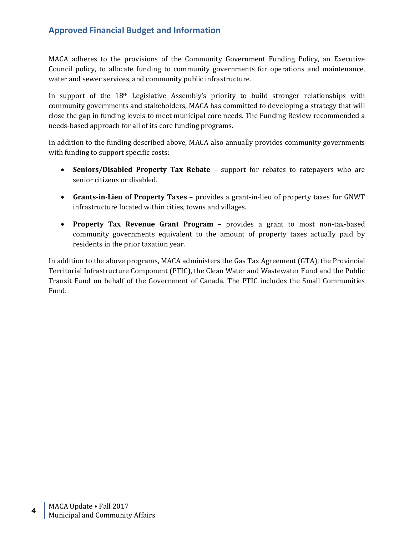# <span id="page-3-0"></span>**Approved Financial Budget and Information**

MACA adheres to the provisions of the Community Government Funding Policy, an Executive Council policy, to allocate funding to community governments for operations and maintenance, water and sewer services, and community public infrastructure.

In support of the  $18<sup>th</sup>$  Legislative Assembly's priority to build stronger relationships with community governments and stakeholders, MACA has committed to developing a strategy that will close the gap in funding levels to meet municipal core needs. The Funding Review recommended a needs-based approach for all of its core funding programs.

In addition to the funding described above, MACA also annually provides community governments with funding to support specific costs:

- **Seniors/Disabled Property Tax Rebate** support for rebates to ratepayers who are senior citizens or disabled.
- **Grants-in-Lieu of Property Taxes** provides a grant-in-lieu of property taxes for GNWT infrastructure located within cities, towns and villages.
- **Property Tax Revenue Grant Program** provides a grant to most non-tax-based community governments equivalent to the amount of property taxes actually paid by residents in the prior taxation year.

In addition to the above programs, MACA administers the Gas Tax Agreement (GTA), the Provincial Territorial Infrastructure Component (PTIC), the Clean Water and Wastewater Fund and the Public Transit Fund on behalf of the Government of Canada. The PTIC includes the Small Communities Fund.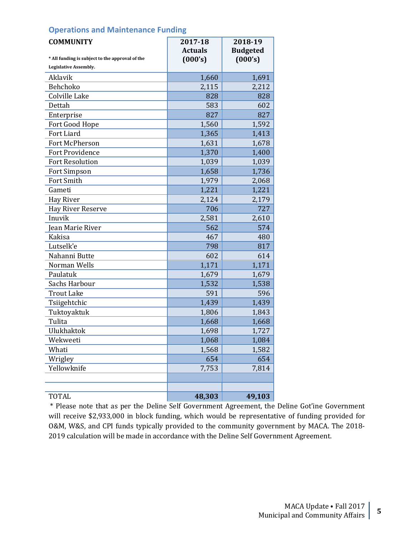## <span id="page-4-0"></span>**Operations and Maintenance Funding**

| <b>COMMUNITY</b>                                | 2017-18                   | 2018-19                    |
|-------------------------------------------------|---------------------------|----------------------------|
| * All funding is subject to the approval of the | <b>Actuals</b><br>(000's) | <b>Budgeted</b><br>(000's) |
| Legislative Assembly.                           |                           |                            |
| Aklavik                                         | 1,660                     | 1,691                      |
| Behchoko                                        | 2,115                     | 2,212                      |
| Colville Lake                                   | 828                       | 828                        |
| Dettah                                          | 583                       | 602                        |
| Enterprise                                      | 827                       | 827                        |
| Fort Good Hope                                  | 1,560                     | 1,592                      |
| Fort Liard                                      | 1,365                     | 1,413                      |
| Fort McPherson                                  | 1,631                     | 1,678                      |
| <b>Fort Providence</b>                          | 1,370                     | 1,400                      |
| <b>Fort Resolution</b>                          | 1,039                     | 1,039                      |
| Fort Simpson                                    | 1,658                     | 1,736                      |
| Fort Smith                                      | 1,979                     | 2,068                      |
| Gameti                                          | 1,221                     | 1,221                      |
| <b>Hay River</b>                                | 2,124                     | 2,179                      |
| Hay River Reserve                               | 706                       | 727                        |
| Inuvik                                          | 2,581                     | 2,610                      |
| Jean Marie River                                | 562                       | 574                        |
| Kakisa                                          | 467                       | 480                        |
| Lutselk'e                                       | 798                       | 817                        |
| Nahanni Butte                                   | 602                       | 614                        |
| Norman Wells                                    | 1,171                     | 1,171                      |
| Paulatuk                                        | 1,679                     | 1,679                      |
| Sachs Harbour                                   | 1,532                     | 1,538                      |
| <b>Trout Lake</b>                               | 591                       | 596                        |
| Tsiigehtchic                                    | 1,439                     | 1,439                      |
| Tuktoyaktuk                                     | 1,806                     | 1,843                      |
| Tulita                                          | 1,668                     | 1,668                      |
| Ulukhaktok                                      | 1,698                     | 1,727                      |
| Wekweeti                                        | 1,068                     | 1,084                      |
| Whati                                           | 1,568                     | 1,582                      |
| Wrigley                                         | 654                       | 654                        |
| Yellowknife                                     | 7,753                     | 7,814                      |
|                                                 |                           |                            |
|                                                 |                           |                            |
| <b>TOTAL</b>                                    | 48,303                    | 49,103                     |

\* Please note that as per the Deline Self Government Agreement, the Deline Got'ine Government will receive \$2,933,000 in block funding, which would be representative of funding provided for O&M, W&S, and CPI funds typically provided to the community government by MACA. The 2018- 2019 calculation will be made in accordance with the Deline Self Government Agreement.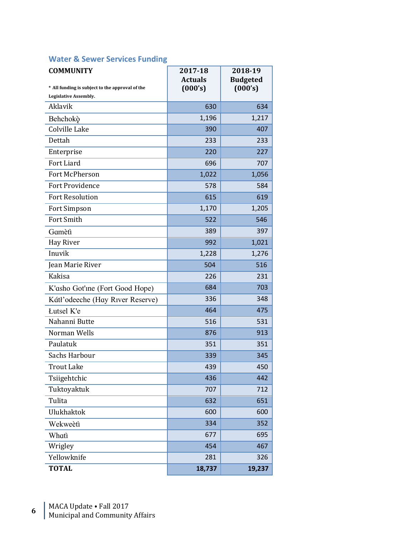# <span id="page-5-0"></span>**Water & Sewer Services Funding**

| <b>COMMUNITY</b>                                | 2017-18<br><b>Actuals</b> | 2018-19<br><b>Budgeted</b> |
|-------------------------------------------------|---------------------------|----------------------------|
| * All funding is subject to the approval of the | (000's)                   | (000's)                    |
| Legislative Assembly.                           |                           |                            |
| Aklavik                                         | 630                       | 634                        |
| Behchokò                                        | 1,196                     | 1,217                      |
| Colville Lake                                   | 390                       | 407                        |
| Dettah                                          | 233                       | 233                        |
| Enterprise                                      | 220                       | 227                        |
| Fort Liard                                      | 696                       | 707                        |
| Fort McPherson                                  | 1,022                     | 1,056                      |
| <b>Fort Providence</b>                          | 578                       | 584                        |
| <b>Fort Resolution</b>                          | 615                       | 619                        |
| Fort Simpson                                    | 1,170                     | 1,205                      |
| Fort Smith                                      | 522                       | 546                        |
| Gamètì                                          | 389                       | 397                        |
| Hay River                                       | 992                       | 1,021                      |
| Inuvik                                          | 1,228                     | 1,276                      |
| Jean Marie River                                | 504                       | 516                        |
| Kakisa                                          | 226                       | 231                        |
| K'asho Got'ine (Fort Good Hope)                 | 684                       | 703                        |
| Kátł'odeeche (Hay River Reserve)                | 336                       | 348                        |
| <b>Lutsel K'e</b>                               | 464                       | 475                        |
| Nahanni Butte                                   | 516                       | 531                        |
| Norman Wells                                    | 876                       | 913                        |
| Paulatuk                                        | 351                       | 351                        |
| Sachs Harbour                                   | 339                       | 345                        |
| <b>Trout Lake</b>                               | 439                       | 450                        |
| Tsiigehtchic                                    | 436                       | 442                        |
| Tuktoyaktuk                                     | 707                       | 712                        |
| Tulita                                          | 632                       | 651                        |
| Ulukhaktok                                      | 600                       | 600                        |
| Wekweètì                                        | 334                       | 352                        |
| Whatì                                           | 677                       | 695                        |
| Wrigley                                         | 454                       | 467                        |
| Yellowknife                                     | 281                       | 326                        |
| <b>TOTAL</b>                                    | 18,737                    | 19,237                     |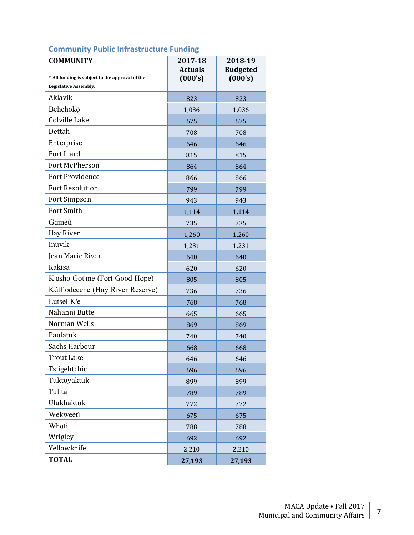# <span id="page-6-0"></span>**Community Public Infrastructure Funding**

| <b>COMMUNITY</b><br>* All funding is subject to the approval of the<br>Legislative Assembly. | 2017-18<br><b>Actuals</b><br>(000's) | 2018-19<br><b>Budgeted</b><br>(000's) |
|----------------------------------------------------------------------------------------------|--------------------------------------|---------------------------------------|
| Aklavik                                                                                      | 823                                  | 823                                   |
| Behchokò                                                                                     | 1,036                                | 1,036                                 |
| Colville Lake                                                                                | 675                                  | 675                                   |
| Dettah                                                                                       | 708                                  | 708                                   |
| Enterprise                                                                                   | 646                                  | 646                                   |
| Fort Liard                                                                                   | 815                                  | 815                                   |
| Fort McPherson                                                                               | 864                                  | 864                                   |
| <b>Fort Providence</b>                                                                       | 866                                  | 866                                   |
| <b>Fort Resolution</b>                                                                       | 799                                  | 799                                   |
| Fort Simpson                                                                                 | 943                                  | 943                                   |
| Fort Smith                                                                                   | 1,114                                | 1,114                                 |
| Gamètì                                                                                       | 735                                  | 735                                   |
| Hay River                                                                                    | 1,260                                | 1,260                                 |
| Inuvik                                                                                       | 1,231                                | 1,231                                 |
| Jean Marie River                                                                             | 640                                  | 640                                   |
| <b>Kakisa</b>                                                                                | 620                                  | 620                                   |
| K'asho Got'ine (Fort Good Hope)                                                              | 805                                  | 805                                   |
| Kátł'odeeche (Hay River Reserve)                                                             | 736                                  | 736                                   |
| <b>Lutsel K'e</b>                                                                            | 768                                  | 768                                   |
| Nahanni Butte                                                                                | 665                                  | 665                                   |
| Norman Wells                                                                                 | 869                                  | 869                                   |
| Paulatuk                                                                                     | 740                                  | 740                                   |
| Sachs Harbour                                                                                | 668                                  | 668                                   |
| <b>Trout Lake</b>                                                                            | 646                                  | 646                                   |
| Tsiigehtchic                                                                                 | 696                                  | 696                                   |
| Tuktoyaktuk                                                                                  | 899                                  | 899                                   |
| Tulita                                                                                       | 789                                  | 789                                   |
| Ulukhaktok                                                                                   | 772                                  | 772                                   |
| Wekweètì                                                                                     | 675                                  | 675                                   |
| Whatì                                                                                        | 788                                  | 788                                   |
| Wrigley                                                                                      | 692                                  | 692                                   |
| Yellowknife                                                                                  | 2,210                                | 2,210                                 |
| <b>TOTAL</b>                                                                                 | 27,193                               | 27,193                                |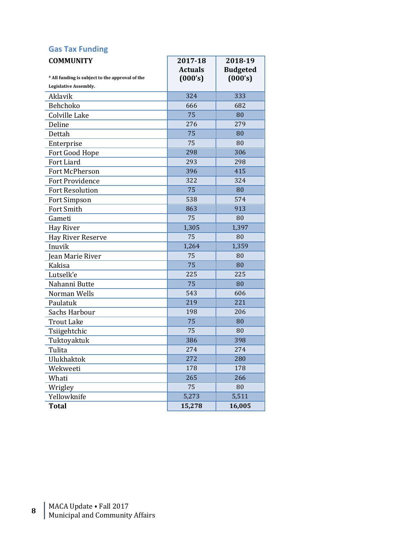# <span id="page-7-0"></span>**Gas Tax Funding**

| <b>COMMUNITY</b><br>* All funding is subject to the approval of the<br>Legislative Assembly. | 2017-18<br><b>Actuals</b><br>(000's) | 2018-19<br><b>Budgeted</b><br>(000's) |
|----------------------------------------------------------------------------------------------|--------------------------------------|---------------------------------------|
| Aklavik                                                                                      | 324                                  | 333                                   |
| Behchoko                                                                                     | 666                                  | 682                                   |
| Colville Lake                                                                                | 75                                   | 80                                    |
| Deline                                                                                       | 276                                  | 279                                   |
| Dettah                                                                                       | 75                                   | 80                                    |
| Enterprise                                                                                   | 75                                   | 80                                    |
| Fort Good Hope                                                                               | 298                                  | 306                                   |
| Fort Liard                                                                                   | 293                                  | 298                                   |
| Fort McPherson                                                                               | 396                                  | 415                                   |
| <b>Fort Providence</b>                                                                       | 322                                  | 324                                   |
| <b>Fort Resolution</b>                                                                       | 75                                   | 80                                    |
| Fort Simpson                                                                                 | 538                                  | 574                                   |
| <b>Fort Smith</b>                                                                            | 863                                  | 913                                   |
| Gameti                                                                                       | 75                                   | 80                                    |
| Hay River                                                                                    | 1,305                                | 1,397                                 |
| <b>Hay River Reserve</b>                                                                     | 75                                   | 80                                    |
| Inuvik                                                                                       | 1,264                                | 1,359                                 |
| Jean Marie River                                                                             | 75                                   | 80                                    |
| Kakisa                                                                                       | 75                                   | 80                                    |
| Lutselk'e                                                                                    | 225                                  | 225                                   |
| Nahanni Butte                                                                                | 75                                   | 80                                    |
| Norman Wells                                                                                 | 543                                  | 606                                   |
| Paulatuk                                                                                     | 219                                  | 221                                   |
| Sachs Harbour                                                                                | 198                                  | 206                                   |
| <b>Trout Lake</b>                                                                            | 75                                   | 80                                    |
| Tsiigehtchic                                                                                 | 75                                   | 80                                    |
| Tuktoyaktuk                                                                                  | 386                                  | 398                                   |
| Tulita                                                                                       | 274                                  | 274                                   |
| <b>Ulukhaktok</b>                                                                            | 272                                  | 280                                   |
| Wekweeti                                                                                     | 178                                  | 178                                   |
| Whati                                                                                        | 265                                  | 266                                   |
| Wrigley                                                                                      | 75                                   | 80                                    |
| Yellowknife                                                                                  | 5,273                                | 5,511                                 |
| <b>Total</b>                                                                                 | 15,278                               | 16,005                                |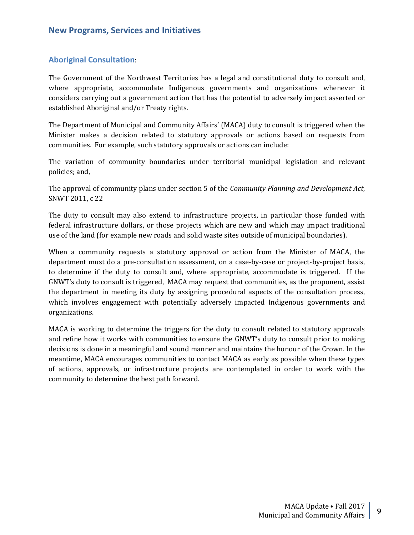## <span id="page-8-1"></span><span id="page-8-0"></span>**Aboriginal Consultation**:

The Government of the Northwest Territories has a legal and constitutional duty to consult and, where appropriate, accommodate Indigenous governments and organizations whenever it considers carrying out a government action that has the potential to adversely impact asserted or established Aboriginal and/or Treaty rights.

The Department of Municipal and Community Affairs' (MACA) duty to consult is triggered when the Minister makes a decision related to statutory approvals or actions based on requests from communities. For example, such statutory approvals or actions can include:

The variation of community boundaries under territorial municipal legislation and relevant policies; and,

The approval of community plans under section 5 of the *Community Planning and Development Act*, SNWT 2011, c 22

The duty to consult may also extend to infrastructure projects, in particular those funded with federal infrastructure dollars, or those projects which are new and which may impact traditional use of the land (for example new roads and solid waste sites outside of municipal boundaries).

When a community requests a statutory approval or action from the Minister of MACA, the department must do a pre-consultation assessment, on a case-by-case or project-by-project basis, to determine if the duty to consult and, where appropriate, accommodate is triggered. If the GNWT's duty to consult is triggered, MACA may request that communities, as the proponent, assist the department in meeting its duty by assigning procedural aspects of the consultation process, which involves engagement with potentially adversely impacted Indigenous governments and organizations.

MACA is working to determine the triggers for the duty to consult related to statutory approvals and refine how it works with communities to ensure the GNWT's duty to consult prior to making decisions is done in a meaningful and sound manner and maintains the honour of the Crown. In the meantime, MACA encourages communities to contact MACA as early as possible when these types of actions, approvals, or infrastructure projects are contemplated in order to work with the community to determine the best path forward.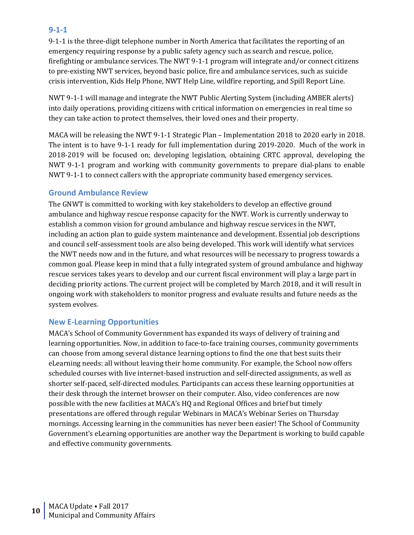## <span id="page-9-0"></span>**9-1-1**

9-1-1 is the three-digit telephone number in North America that facilitates the reporting of an emergency requiring response by a public safety agency such as search and rescue, police, firefighting or ambulance services. The NWT 9-1-1 program will integrate and/or connect citizens to pre-existing NWT services, beyond basic police, fire and ambulance services, such as suicide crisis intervention, Kids Help Phone, NWT Help Line, wildfire reporting, and Spill Report Line.

NWT 9-1-1 will manage and integrate the NWT Public Alerting System (including AMBER alerts) into daily operations, providing citizens with critical information on emergencies in real time so they can take action to protect themselves, their loved ones and their property.

MACA will be releasing the NWT 9-1-1 Strategic Plan – Implementation 2018 to 2020 early in 2018. The intent is to have 9-1-1 ready for full implementation during 2019-2020. Much of the work in 2018-2019 will be focused on; developing legislation, obtaining CRTC approval, developing the NWT 9-1-1 program and working with community governments to prepare dial-plans to enable NWT 9-1-1 to connect callers with the appropriate community based emergency services.

### <span id="page-9-1"></span>**Ground Ambulance Review**

The GNWT is committed to working with key stakeholders to develop an effective ground ambulance and highway rescue response capacity for the NWT. Work is currently underway to establish a common vision for ground ambulance and highway rescue services in the NWT, including an action plan to guide system maintenance and development. Essential job descriptions and council self-assessment tools are also being developed. This work will identify what services the NWT needs now and in the future, and what resources will be necessary to progress towards a common goal. Please keep in mind that a fully integrated system of ground ambulance and highway rescue services takes years to develop and our current fiscal environment will play a large part in deciding priority actions. The current project will be completed by March 2018, and it will result in ongoing work with stakeholders to monitor progress and evaluate results and future needs as the system evolves.

## <span id="page-9-2"></span>**New E-Learning Opportunities**

MACA's School of Community Government has expanded its ways of delivery of training and learning opportunities. Now, in addition to face-to-face training courses, community governments can choose from among several distance learning options to find the one that best suits their eLearning needs: all without leaving their home community. For example, the School now offers scheduled courses with live internet-based instruction and self-directed assignments, as well as shorter self-paced, self-directed modules. Participants can access these learning opportunities at their desk through the internet browser on their computer. Also, video conferences are now possible with the new facilities at MACA's HQ and Regional Offices and brief but timely presentations are offered through regular Webinars in MACA's Webinar Series on Thursday mornings. Accessing learning in the communities has never been easier! The School of Community Government's eLearning opportunities are another way the Department is working to build capable and effective community governments.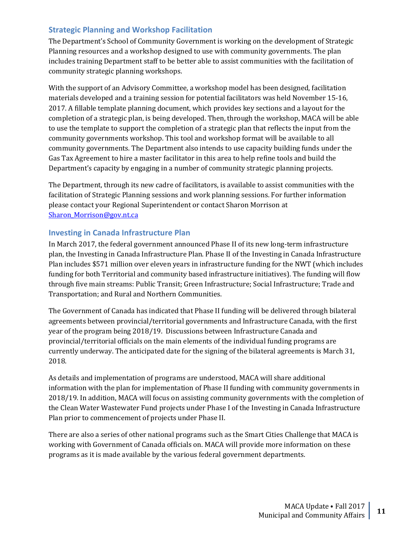## <span id="page-10-0"></span>**Strategic Planning and Workshop Facilitation**

The Department's School of Community Government is working on the development of Strategic Planning resources and a workshop designed to use with community governments. The plan includes training Department staff to be better able to assist communities with the facilitation of community strategic planning workshops.

With the support of an Advisory Committee, a workshop model has been designed, facilitation materials developed and a training session for potential facilitators was held November 15-16, 2017. A fillable template planning document, which provides key sections and a layout for the completion of a strategic plan, is being developed. Then, through the workshop, MACA will be able to use the template to support the completion of a strategic plan that reflects the input from the community governments workshop. This tool and workshop format will be available to all community governments. The Department also intends to use capacity building funds under the Gas Tax Agreement to hire a master facilitator in this area to help refine tools and build the Department's capacity by engaging in a number of community strategic planning projects.

The Department, through its new cadre of facilitators, is available to assist communities with the facilitation of Strategic Planning sessions and work planning sessions. For further information please contact your Regional Superintendent or contact Sharon Morrison at Sharon Morrison@gov.nt.ca

## <span id="page-10-1"></span>**Investing in Canada Infrastructure Plan**

In March 2017, the federal government announced Phase II of its new long-term infrastructure plan, the Investing in Canada Infrastructure Plan. Phase II of the Investing in Canada Infrastructure Plan includes \$571 million over eleven years in infrastructure funding for the NWT (which includes funding for both Territorial and community based infrastructure initiatives). The funding will flow through five main streams: Public Transit; Green Infrastructure; Social Infrastructure; Trade and Transportation; and Rural and Northern Communities.

The Government of Canada has indicated that Phase II funding will be delivered through bilateral agreements between provincial/territorial governments and Infrastructure Canada, with the first year of the program being 2018/19. Discussions between Infrastructure Canada and provincial/territorial officials on the main elements of the individual funding programs are currently underway. The anticipated date for the signing of the bilateral agreements is March 31, 2018.

As details and implementation of programs are understood, MACA will share additional information with the plan for implementation of Phase II funding with community governments in 2018/19. In addition, MACA will focus on assisting community governments with the completion of the Clean Water Wastewater Fund projects under Phase I of the Investing in Canada Infrastructure Plan prior to commencement of projects under Phase II.

There are also a series of other national programs such as the Smart Cities Challenge that MACA is working with Government of Canada officials on. MACA will provide more information on these programs as it is made available by the various federal government departments.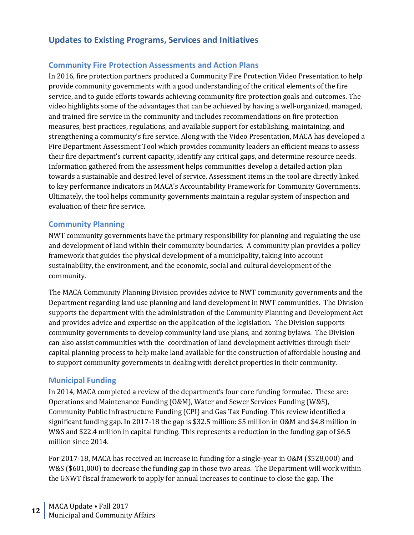# <span id="page-11-0"></span>**Updates to Existing Programs, Services and Initiatives**

## <span id="page-11-1"></span>**Community Fire Protection Assessments and Action Plans**

In 2016, fire protection partners produced a Community Fire Protection Video Presentation to help provide community governments with a good understanding of the critical elements of the fire service, and to guide efforts towards achieving community fire protection goals and outcomes. The video highlights some of the advantages that can be achieved by having a well-organized, managed, and trained fire service in the community and includes recommendations on fire protection measures, best practices, regulations, and available support for establishing, maintaining, and strengthening a community's fire service. Along with the Video Presentation, MACA has developed a Fire Department Assessment Tool which provides community leaders an efficient means to assess their fire department's current capacity, identify any critical gaps, and determine resource needs. Information gathered from the assessment helps communities develop a detailed action plan towards a sustainable and desired level of service. Assessment items in the tool are directly linked to key performance indicators in MACA's Accountability Framework for Community Governments. Ultimately, the tool helps community governments maintain a regular system of inspection and evaluation of their fire service.

### <span id="page-11-2"></span>**Community Planning**

NWT community governments have the primary responsibility for planning and regulating the use and development of land within their community boundaries. A community plan provides a policy framework that guides the physical development of a municipality, taking into account sustainability, the environment, and the economic, social and cultural development of the community.

The MACA Community Planning Division provides advice to NWT community governments and the Department regarding land use planning and land development in NWT communities. The Division supports the department with the administration of the Community Planning and Development Act and provides advice and expertise on the application of the legislation. The Division supports community governments to develop community land use plans, and zoning bylaws. The Division can also assist communities with the coordination of land development activities through their capital planning process to help make land available for the construction of affordable housing and to support community governments in dealing with derelict properties in their community.

## <span id="page-11-3"></span>**Municipal Funding**

In 2014, MACA completed a review of the department's four core funding formulae. These are: Operations and Maintenance Funding (O&M), Water and Sewer Services Funding (W&S), Community Public Infrastructure Funding (CPI) and Gas Tax Funding. This review identified a significant funding gap. In 2017-18 the gap is \$32.5 million: \$5 million in O&M and \$4.8 million in W&S and \$22.4 million in capital funding. This represents a reduction in the funding gap of \$6.5 million since 2014.

For 2017-18, MACA has received an increase in funding for a single-year in O&M (\$528,000) and W&S (\$601,000) to decrease the funding gap in those two areas. The Department will work within the GNWT fiscal framework to apply for annual increases to continue to close the gap. The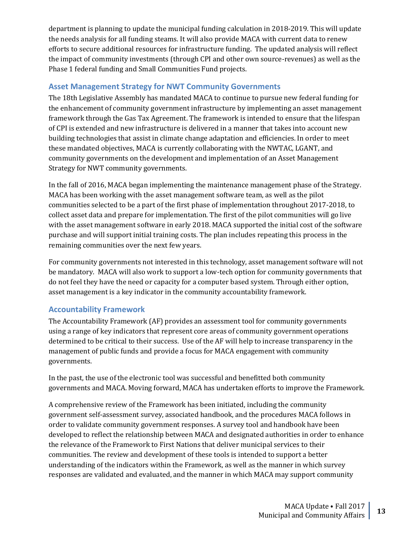department is planning to update the municipal funding calculation in 2018-2019. This will update the needs analysis for all funding steams. It will also provide MACA with current data to renew efforts to secure additional resources for infrastructure funding. The updated analysis will reflect the impact of community investments (through CPI and other own source-revenues) as well as the Phase 1 federal funding and Small Communities Fund projects.

## <span id="page-12-0"></span>**Asset Management Strategy for NWT Community Governments**

The 18th Legislative Assembly has mandated MACA to continue to pursue new federal funding for the enhancement of community government infrastructure by implementing an asset management framework through the Gas Tax Agreement. The framework is intended to ensure that the lifespan of CPI is extended and new infrastructure is delivered in a manner that takes into account new building technologies that assist in climate change adaptation and efficiencies. In order to meet these mandated objectives, MACA is currently collaborating with the NWTAC, LGANT, and community governments on the development and implementation of an Asset Management Strategy for NWT community governments.

In the fall of 2016, MACA began implementing the maintenance management phase of the Strategy. MACA has been working with the asset management software team, as well as the pilot communities selected to be a part of the first phase of implementation throughout 2017-2018, to collect asset data and prepare for implementation. The first of the pilot communities will go live with the asset management software in early 2018. MACA supported the initial cost of the software purchase and will support initial training costs. The plan includes repeating this process in the remaining communities over the next few years.

For community governments not interested in this technology, asset management software will not be mandatory. MACA will also work to support a low-tech option for community governments that do not feel they have the need or capacity for a computer based system. Through either option, asset management is a key indicator in the community accountability framework.

## <span id="page-12-1"></span>**Accountability Framework**

The Accountability Framework (AF) provides an assessment tool for community governments using a range of key indicators that represent core areas of community government operations determined to be critical to their success. Use of the AF will help to increase transparency in the management of public funds and provide a focus for MACA engagement with community governments.

In the past, the use of the electronic tool was successful and benefitted both community governments and MACA. Moving forward, MACA has undertaken efforts to improve the Framework.

A comprehensive review of the Framework has been initiated, including the community government self-assessment survey, associated handbook, and the procedures MACA follows in order to validate community government responses. A survey tool and handbook have been developed to reflect the relationship between MACA and designated authorities in order to enhance the relevance of the Framework to First Nations that deliver municipal services to their communities. The review and development of these tools is intended to support a better understanding of the indicators within the Framework, as well as the manner in which survey responses are validated and evaluated, and the manner in which MACA may support community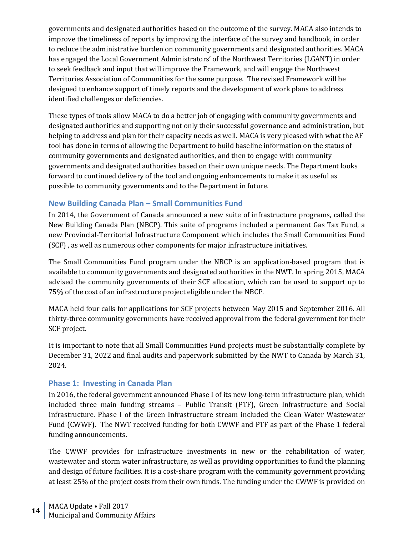governments and designated authorities based on the outcome of the survey. MACA also intends to improve the timeliness of reports by improving the interface of the survey and handbook, in order to reduce the administrative burden on community governments and designated authorities. MACA has engaged the Local Government Administrators' of the Northwest Territories (LGANT) in order to seek feedback and input that will improve the Framework, and will engage the Northwest Territories Association of Communities for the same purpose. The revised Framework will be designed to enhance support of timely reports and the development of work plans to address identified challenges or deficiencies.

These types of tools allow MACA to do a better job of engaging with community governments and designated authorities and supporting not only their successful governance and administration, but helping to address and plan for their capacity needs as well. MACA is very pleased with what the AF tool has done in terms of allowing the Department to build baseline information on the status of community governments and designated authorities, and then to engage with community governments and designated authorities based on their own unique needs. The Department looks forward to continued delivery of the tool and ongoing enhancements to make it as useful as possible to community governments and to the Department in future.

## <span id="page-13-0"></span>**New Building Canada Plan – Small Communities Fund**

In 2014, the Government of Canada announced a new suite of infrastructure programs, called the New Building Canada Plan (NBCP). This suite of programs included a permanent Gas Tax Fund, a new Provincial-Territorial Infrastructure Component which includes the Small Communities Fund (SCF) , as well as numerous other components for major infrastructure initiatives.

The Small Communities Fund program under the NBCP is an application-based program that is available to community governments and designated authorities in the NWT. In spring 2015, MACA advised the community governments of their SCF allocation, which can be used to support up to 75% of the cost of an infrastructure project eligible under the NBCP.

MACA held four calls for applications for SCF projects between May 2015 and September 2016. All thirty-three community governments have received approval from the federal government for their SCF project.

It is important to note that all Small Communities Fund projects must be substantially complete by December 31, 2022 and final audits and paperwork submitted by the NWT to Canada by March 31, 2024.

## <span id="page-13-1"></span>**Phase 1: Investing in Canada Plan**

In 2016, the federal government announced Phase I of its new long-term infrastructure plan, which included three main funding streams – Public Transit (PTF), Green Infrastructure and Social Infrastructure. Phase I of the Green Infrastructure stream included the Clean Water Wastewater Fund (CWWF). The NWT received funding for both CWWF and PTF as part of the Phase 1 federal funding announcements.

The CWWF provides for infrastructure investments in new or the rehabilitation of water, wastewater and storm water infrastructure, as well as providing opportunities to fund the planning and design of future facilities. It is a cost-share program with the community government providing at least 25% of the project costs from their own funds. The funding under the CWWF is provided on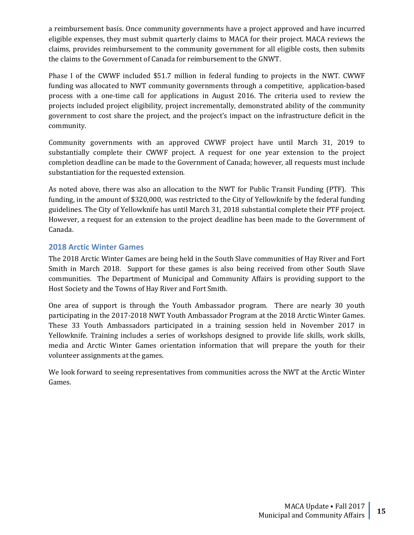a reimbursement basis. Once community governments have a project approved and have incurred eligible expenses, they must submit quarterly claims to MACA for their project. MACA reviews the claims, provides reimbursement to the community government for all eligible costs, then submits the claims to the Government of Canada for reimbursement to the GNWT.

Phase I of the CWWF included \$51.7 million in federal funding to projects in the NWT. CWWF funding was allocated to NWT community governments through a competitive, application-based process with a one-time call for applications in August 2016. The criteria used to review the projects included project eligibility, project incrementally, demonstrated ability of the community government to cost share the project, and the project's impact on the infrastructure deficit in the community.

Community governments with an approved CWWF project have until March 31, 2019 to substantially complete their CWWF project. A request for one year extension to the project completion deadline can be made to the Government of Canada; however, all requests must include substantiation for the requested extension.

As noted above, there was also an allocation to the NWT for Public Transit Funding (PTF). This funding, in the amount of \$320,000, was restricted to the City of Yellowknife by the federal funding guidelines. The City of Yellowknife has until March 31, 2018 substantial complete their PTF project. However, a request for an extension to the project deadline has been made to the Government of Canada.

## <span id="page-14-0"></span>**2018 Arctic Winter Games**

The 2018 Arctic Winter Games are being held in the South Slave communities of Hay River and Fort Smith in March 2018. Support for these games is also being received from other South Slave communities. The Department of Municipal and Community Affairs is providing support to the Host Society and the Towns of Hay River and Fort Smith.

One area of support is through the Youth Ambassador program. There are nearly 30 youth participating in the 2017-2018 NWT Youth Ambassador Program at the 2018 Arctic Winter Games. These 33 Youth Ambassadors participated in a training session held in November 2017 in Yellowknife. Training includes a series of workshops designed to provide life skills, work skills, media and Arctic Winter Games orientation information that will prepare the youth for their volunteer assignments at the games.

We look forward to seeing representatives from communities across the NWT at the Arctic Winter Games.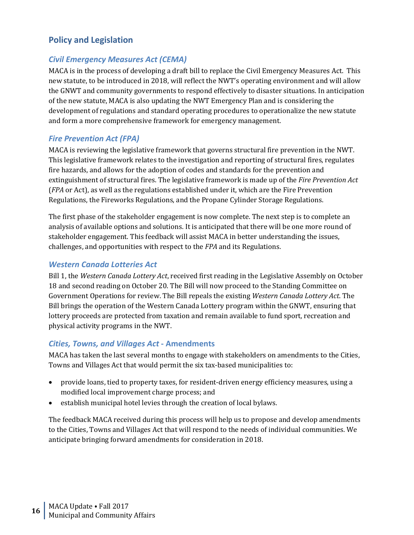# <span id="page-15-0"></span>**Policy and Legislation**

## <span id="page-15-1"></span>*Civil Emergency Measures Act (CEMA)*

MACA is in the process of developing a draft bill to replace the Civil Emergency Measures Act. This new statute, to be introduced in 2018, will reflect the NWT's operating environment and will allow the GNWT and community governments to respond effectively to disaster situations. In anticipation of the new statute, MACA is also updating the NWT Emergency Plan and is considering the development of regulations and standard operating procedures to operationalize the new statute and form a more comprehensive framework for emergency management.

## <span id="page-15-2"></span>*Fire Prevention Act (FPA)*

MACA is reviewing the legislative framework that governs structural fire prevention in the NWT. This legislative framework relates to the investigation and reporting of structural fires, regulates fire hazards, and allows for the adoption of codes and standards for the prevention and extinguishment of structural fires. The legislative framework is made up of the *Fire Prevention Act*  (*FPA* or Act), as well as the regulations established under it, which are the Fire Prevention Regulations, the Fireworks Regulations, and the Propane Cylinder Storage Regulations.

The first phase of the stakeholder engagement is now complete. The next step is to complete an analysis of available options and solutions. It is anticipated that there will be one more round of stakeholder engagement. This feedback will assist MACA in better understanding the issues, challenges, and opportunities with respect to the *FPA* and its Regulations.

## <span id="page-15-3"></span>*Western Canada Lotteries Act*

Bill 1, the *Western Canada Lottery Act*, received first reading in the Legislative Assembly on October 18 and second reading on October 20. The Bill will now proceed to the Standing Committee on Government Operations for review. The Bill repeals the existing *Western Canada Lottery Act*. The Bill brings the operation of the Western Canada Lottery program within the GNWT, ensuring that lottery proceeds are protected from taxation and remain available to fund sport, recreation and physical activity programs in the NWT.

## <span id="page-15-4"></span>*Cities, Towns, and Villages Act* **- Amendments**

MACA has taken the last several months to engage with stakeholders on amendments to the Cities, Towns and Villages Act that would permit the six tax-based municipalities to:

- provide loans, tied to property taxes, for resident-driven energy efficiency measures, using a modified local improvement charge process; and
- establish municipal hotel levies through the creation of local bylaws.

The feedback MACA received during this process will help us to propose and develop amendments to the Cities, Towns and Villages Act that will respond to the needs of individual communities. We anticipate bringing forward amendments for consideration in 2018.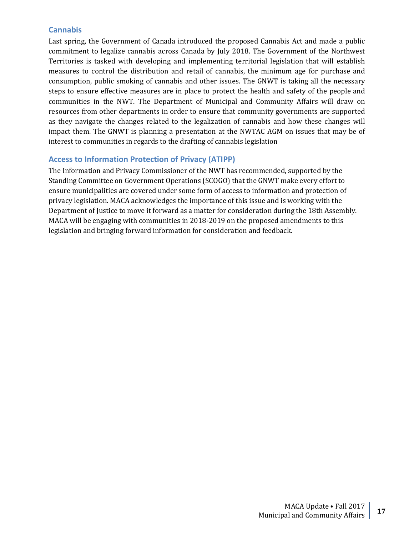## <span id="page-16-0"></span>**Cannabis**

Last spring, the Government of Canada introduced the proposed Cannabis Act and made a public commitment to legalize cannabis across Canada by July 2018. The Government of the Northwest Territories is tasked with developing and implementing territorial legislation that will establish measures to control the distribution and retail of cannabis, the minimum age for purchase and consumption, public smoking of cannabis and other issues. The GNWT is taking all the necessary steps to ensure effective measures are in place to protect the health and safety of the people and communities in the NWT. The Department of Municipal and Community Affairs will draw on resources from other departments in order to ensure that community governments are supported as they navigate the changes related to the legalization of cannabis and how these changes will impact them. The GNWT is planning a presentation at the NWTAC AGM on issues that may be of interest to communities in regards to the drafting of cannabis legislation

## <span id="page-16-1"></span>**Access to Information Protection of Privacy (ATIPP)**

The Information and Privacy Commissioner of the NWT has recommended, supported by the Standing Committee on Government Operations (SCOGO) that the GNWT make every effort to ensure municipalities are covered under some form of access to information and protection of privacy legislation. MACA acknowledges the importance of this issue and is working with the Department of Justice to move it forward as a matter for consideration during the 18th Assembly. MACA will be engaging with communities in 2018-2019 on the proposed amendments to this legislation and bringing forward information for consideration and feedback.